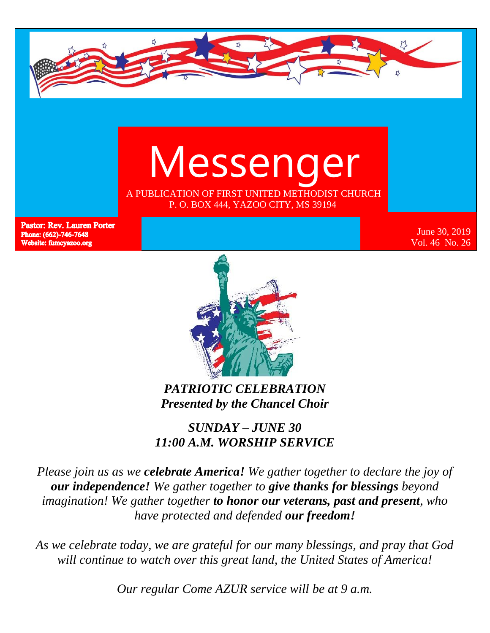



**Pastor: Rev. Lauren Porter** Phone: (662)-746-7648 Website: fumcyazoo.org

June 30, 2019 Vol. 46 No. 26



*PATRIOTIC CELEBRATION Presented by the Chancel Choir*

*SUNDAY – JUNE 30 11:00 A.M. WORSHIP SERVICE*

*Please join us as we celebrate America! We gather together to declare the joy of our independence! We gather together to give thanks for blessings beyond imagination! We gather together to honor our veterans, past and present, who have protected and defended our freedom!*

*As we celebrate today, we are grateful for our many blessings, and pray that God will continue to watch over this great land, the United States of America!*

*Our regular Come AZUR service will be at 9 a.m.*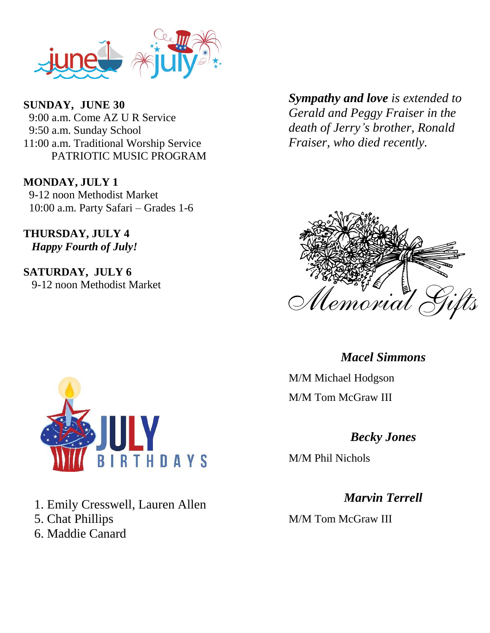

**SUNDAY, JUNE 30** 9:00 a.m. Come AZ U R Service 9:50 a.m. Sunday School 11:00 a.m. Traditional Worship Service PATRIOTIC MUSIC PROGRAM

**MONDAY, JULY 1** 9-12 noon Methodist Market 10:00 a.m. Party Safari – Grades 1-6

**THURSDAY, JULY 4** *Happy Fourth of July!*

**SATURDAY, JULY 6** 9-12 noon Methodist Market *Sympathy and love is extended to Gerald and Peggy Fraiser in the death of Jerry's brother, Ronald Fraiser, who died recently.*





M/M Michael Hodgson M/M Tom McGraw III

#### *Becky Jones*

M/M Phil Nichols

*Marvin Terrell* M/M Tom McGraw III



1. Emily Cresswell, Lauren Allen 5. Chat Phillips 6. Maddie Canard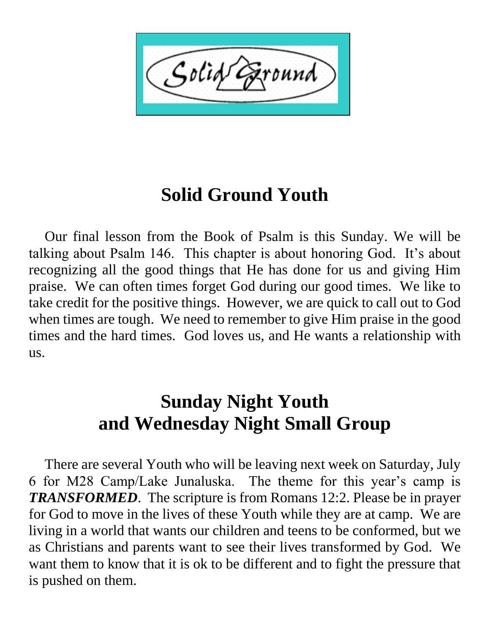Solid ound

# **Solid Ground Youth**

 Our final lesson from the Book of Psalm is this Sunday. We will be talking about Psalm 146. This chapter is about honoring God. It's about recognizing all the good things that He has done for us and giving Him praise. We can often times forget God during our good times. We like to take credit for the positive things. However, we are quick to call out to God when times are tough. We need to remember to give Him praise in the good times and the hard times. God loves us, and He wants a relationship with us.

# **Sunday Night Youth and Wednesday Night Small Group**

 There are several Youth who will be leaving next week on Saturday, July 6 for M28 Camp/Lake Junaluska. The theme for this year's camp is *TRANSFORMED*. The scripture is from Romans 12:2. Please be in prayer for God to move in the lives of these Youth while they are at camp. We are living in a world that wants our children and teens to be conformed, but we as Christians and parents want to see their lives transformed by God. We want them to know that it is ok to be different and to fight the pressure that is pushed on them.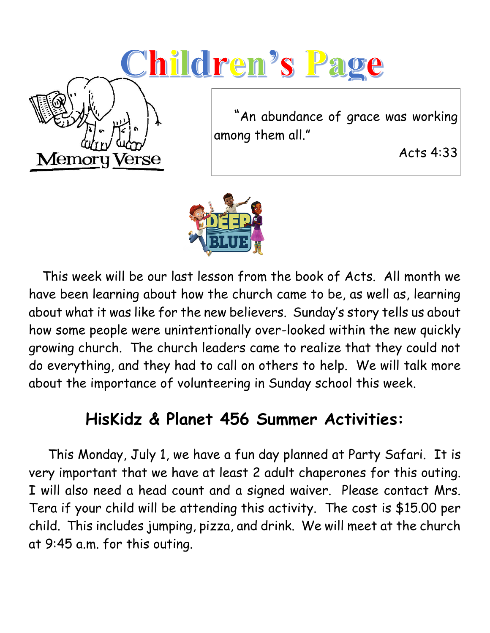# <u>Children's Pa</u>



 "An abundance of grace was working among them all."

Acts 4:33



 This week will be our last lesson from the book of Acts. All month we have been learning about how the church came to be, as well as, learning about what it was like for the new believers. Sunday's story tells us about how some people were unintentionally over-looked within the new quickly growing church. The church leaders came to realize that they could not do everything, and they had to call on others to help. We will talk more about the importance of volunteering in Sunday school this week.

## **HisKidz & Planet 456 Summer Activities:**

 This Monday, July 1, we have a fun day planned at Party Safari. It is very important that we have at least 2 adult chaperones for this outing. I will also need a head count and a signed waiver. Please contact Mrs. Tera if your child will be attending this activity. The cost is \$15.00 per child. This includes jumping, pizza, and drink. We will meet at the church at 9:45 a.m. for this outing.